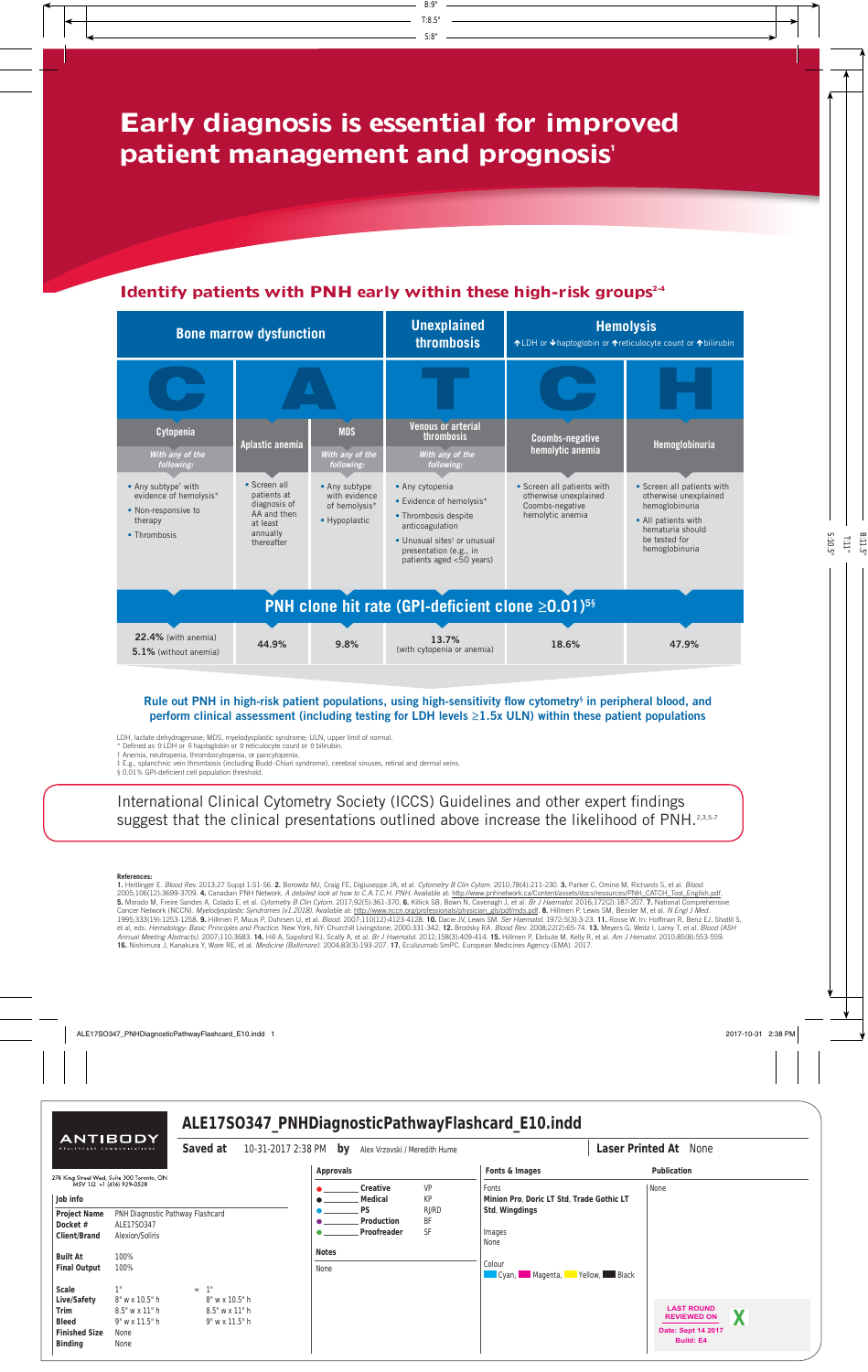# **Early diagnosis is essential for improved patient management and prognosis'**

### **Identify patients with PNH early within these high-risk groups<sup>2-4</sup>**



#### Rule out PNH in high-risk patient populations, using high-sensitivity flow cytometry<sup>§</sup> in peripheral blood, and perform clinical assessment (including testing for LDH levels  $\geq$ 1.5x ULN) within these patient populations

LDH, lactate dehydrogenase; MDS, myelodysplastic syndrome; ULN, upper limit of normal.

Defined as  $\hat{v}$  LDH or  $\theta$  haptoglobin or  $\hat{v}$  reticulocyte count or  $\hat{v}$  bilirubin.

† Anemia, neutropenia, thrombocytopenia, or pancytopenia.

‡ E.g., splanchnic vein thrombosis (including Budd–Chiari syndrome), cerebral sinuses, retinal and dermal veins.

§ 0.01% GPI-deficient cell population threshold

International Clinical Cytometry Society (ICCS) Guidelines and other expert findings suggest that the clinical presentations outlined above increase the likelihood of PNH.<sup>2,3,5-7</sup>

#### **References:**

1. Heitlinger E*. Blood Rev.* 2013;27 Suppl 1:S1-S6. **2.** Borowitz MJ, Craig FE, Digiuseppe JA, et al. *Cytometry B Clin Cytom.* 2010;78(4):211-230. **3.** Parker C, Omine M, Richards S, et al. *Blood.*<br>2005;106(12):3699-370 Cancer Network (NCCN). *Myelodysplastic Syndromes (v1.2018)*. Available at: http://www.nccn.org/professionals/physician\_gls/pdf/mds.pdf. **8.** Hillmen P, Lewis SM, Bessler M, et al. *N Engl J Med*. 1995;333(19):1253-1258. 9. Hillmen P, Muus P, Duhrsen U, et al. Blood. 2007;110(12):4123-4128. 10. Dacie JV, Lewis SM. Ser Haematol. 1972;5(3):3-23. 11. Rosse W. In: Hoffman R, Benz EJ, Shattil S, et al, eds. Hematology: Basic Principles and Practice. New York, NY: Churchill Livingstone; 2000:331-342. 12. Brodsky RA. Blood Rev. 2008;22(2):65-74. 13. Meyers G, Weitz I, Lamy T, et al. Blood (ASH Annual Meeting Abstracts). 2007;110:3683. 14. Hill A, Sapsford RJ, Scally A, et al. Br J Haematol. 2012;158(3):409-414. 15. Hillmen P, Elebute M, Kelly R, et al. Am J Hematol. 2010;85(8):553-559 **16.** Nishimura J, Kanakura Y, Ware RE, et al. *Medicine (Baltimore)*. 2004;83(3):193-207. **17.** Eculizumab SmPC. European Medicines Agency (EMA). 2017.